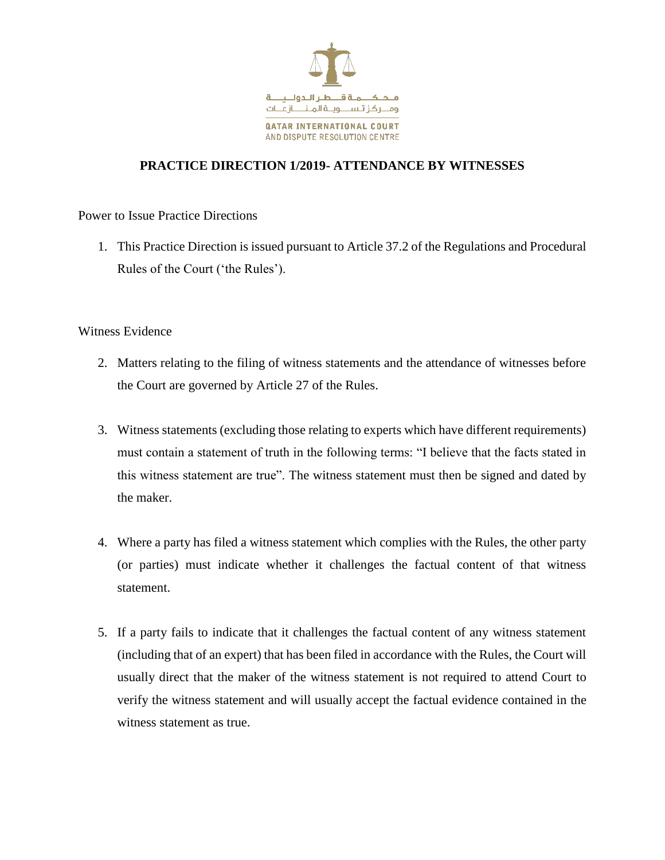

## **PRACTICE DIRECTION 1/2019- ATTENDANCE BY WITNESSES**

Power to Issue Practice Directions

1. This Practice Direction is issued pursuant to Article 37.2 of the Regulations and Procedural Rules of the Court ('the Rules').

Witness Evidence

- 2. Matters relating to the filing of witness statements and the attendance of witnesses before the Court are governed by Article 27 of the Rules.
- 3. Witness statements (excluding those relating to experts which have different requirements) must contain a statement of truth in the following terms: "I believe that the facts stated in this witness statement are true". The witness statement must then be signed and dated by the maker.
- 4. Where a party has filed a witness statement which complies with the Rules, the other party (or parties) must indicate whether it challenges the factual content of that witness statement.
- 5. If a party fails to indicate that it challenges the factual content of any witness statement (including that of an expert) that has been filed in accordance with the Rules, the Court will usually direct that the maker of the witness statement is not required to attend Court to verify the witness statement and will usually accept the factual evidence contained in the witness statement as true.